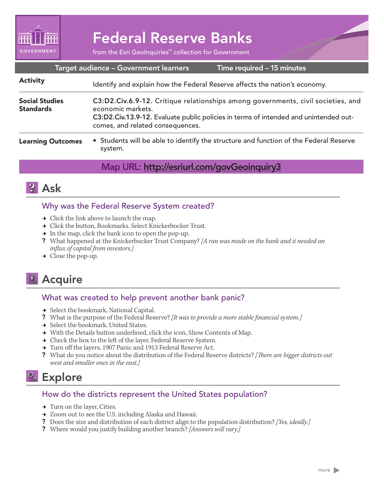

# Federal Reserve Banks

from the Esri GeoInquiries™ collection for Government

| Target audience - Government learners<br>Time required - 15 minutes |                                                                                                                                                                                                                                   |
|---------------------------------------------------------------------|-----------------------------------------------------------------------------------------------------------------------------------------------------------------------------------------------------------------------------------|
| <b>Activity</b>                                                     | Identify and explain how the Federal Reserve affects the nation's economy.                                                                                                                                                        |
| <b>Social Studies</b><br><b>Standards</b>                           | C3:D2.Civ.6.9-12. Critique relationships among governments, civil societies, and<br>economic markets.<br>C3:D2.Civ.13.9-12. Evaluate public policies in terms of intended and unintended out-<br>comes, and related consequences. |
| <b>Learning Outcomes</b>                                            | • Students will be able to identify the structure and function of the Federal Reserve<br>system.                                                                                                                                  |

#### Map URL: http://esriurl.com/govGeoinquiry3



#### Why was the Federal Reserve System created?

- $\rightarrow$  Click the link above to launch the map.
- $\rightarrow\;$  Click the button, Bookmarks. Select Knickerbocker Trust.
- $\rightarrow$  In the map, click the bank icon to open the pop-up.
- ? What happened at the Knickerbocker Trust Company? *[A run was made on the bank and it needed an influx of capital from investors.]*
- $\rightarrow$  Close the pop-up.

## **<sup>4</sup>** Acquire

#### What was created to help prevent another bank panic?

- → Select the bookmark, National Capital.
- ? What is the purpose of the Federal Reserve? *[It was to provide a more stable financial system.]*
- **→** Select the bookmark, United States.
- → With the Details button underlined, click the icon, Show Contents of Map.
- $\rightarrow$  Check the box to the left of the layer, Federal Reserve System.
- → Turn off the layers, 1907 Panic and 1913 Federal Reserve Act.
- ? What do you notice about the distribution of the Federal Reserve districts? *[There are bigger districts out west and smaller ones in the east.]*

### Explore

#### How do the districts represent the United States population?

- $\rightarrow$  Turn on the layer, Cities.
- **→** Zoom out to see the U.S. including Alaska and Hawaii.
- ? Does the size and distribution of each district align to the population distribution? *[Yes, ideally.]*
- ? Where would you justify building another branch? *[Answers will vary.]*